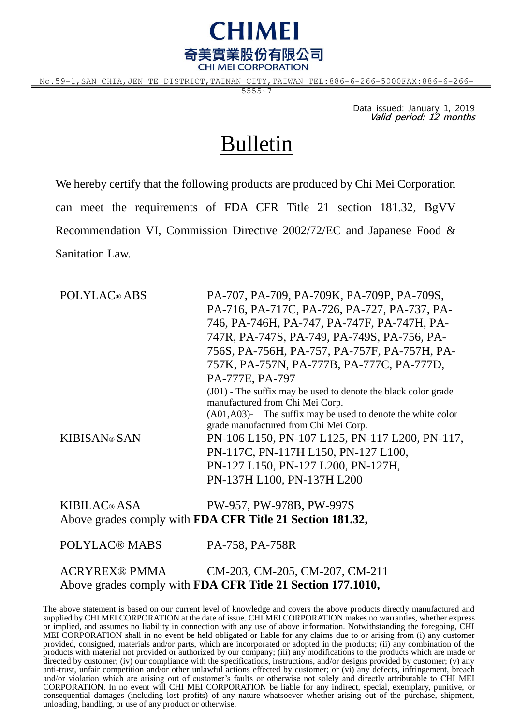

No.59-1,SAN CHIA,JEN TE DISTRICT,TAINAN CITY,TAIWAN TEL:886-6-266-5000FAX:886-6-266-

 $5555 - 7$ 

Data issued: January 1, 2019 **Valid period: 12 months**

## Bulletin

We hereby certify that the following products are produced by Chi Mei Corporation can meet the requirements of FDA CFR Title 21 section 181.32, BgVV Recommendation VI, Commission Directive 2002/72/EC and Japanese Food & Sanitation Law.

POLYLAC® ABS PA-707, PA-709, PA-709K, PA-709P, PA-709S, PA-716, PA-717C, PA-726, PA-727, PA-737, PA-746, PA-746H, PA-747, PA-747F, PA-747H, PA-747R, PA-747S, PA-749, PA-749S, PA-756, PA-756S, PA-756H, PA-757, PA-757F, PA-757H, PA-757K, PA-757N, PA-777B, PA-777C, PA-777D, PA-777E, PA-797 (J01) - The suffix may be used to denote the black color grade manufactured from Chi Mei Corp. (A01,A03)- The suffix may be used to denote the white color grade manufactured from Chi Mei Corp. KIBISAN® SAN PN-106 L150, PN-107 L125, PN-117 L200, PN-117, PN-117C, PN-117H L150, PN-127 L100, PN-127 L150, PN-127 L200, PN-127H, PN-137H L100, PN-137H L200

KIBILAC® ASA PW-957, PW-978B, PW-997S Above grades comply with **FDA CFR Title 21 Section 181.32,**

POLYLAC® MABS PA-758, PA-758R ACRYREX® PMMA CM-203, CM-205, CM-207, CM-211 Above grades comply with **FDA CFR Title 21 Section 177.1010,**

The above statement is based on our current level of knowledge and covers the above products directly manufactured and supplied by CHI MEI CORPORATION at the date of issue. CHI MEI CORPORATION makes no warranties, whether express or implied, and assumes no liability in connection with any use of above information. Notwithstanding the foregoing, CHI MEI CORPORATION shall in no event be held obligated or liable for any claims due to or arising from (i) any customer provided, consigned, materials and/or parts, which are incorporated or adopted in the products; (ii) any combination of the products with material not provided or authorized by our company; (iii) any modifications to the products which are made or directed by customer; (iv) our compliance with the specifications, instructions, and/or designs provided by customer; (v) any anti-trust, unfair competition and/or other unlawful actions effected by customer; or (vi) any defects, infringement, breach and/or violation which are arising out of customer's faults or otherwise not solely and directly attributable to CHI MEI CORPORATION. In no event will CHI MEI CORPORATION be liable for any indirect, special, exemplary, punitive, or consequential damages (including lost profits) of any nature whatsoever whether arising out of the purchase, shipment, unloading, handling, or use of any product or otherwise.